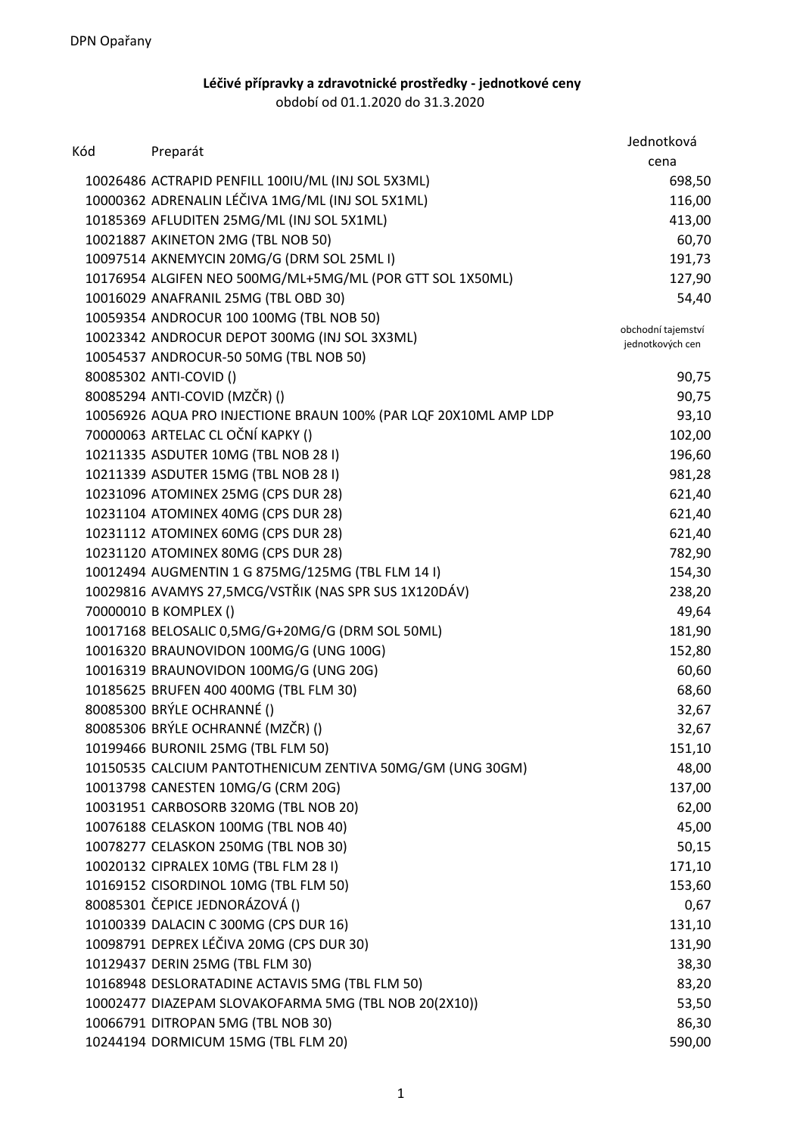## **Léčivé přípravky a zdravotnické prostředky - jednotkové ceny**

období od 01.1.2020 do 31.3.2020

|     |                                                                  | Jednotková                             |
|-----|------------------------------------------------------------------|----------------------------------------|
| Kód | Preparát                                                         | cena                                   |
|     | 10026486 ACTRAPID PENFILL 100IU/ML (INJ SOL 5X3ML)               | 698,50                                 |
|     | 10000362 ADRENALIN LÉČIVA 1MG/ML (INJ SOL 5X1ML)                 | 116,00                                 |
|     | 10185369 AFLUDITEN 25MG/ML (INJ SOL 5X1ML)                       | 413,00                                 |
|     | 10021887 AKINETON 2MG (TBL NOB 50)                               | 60,70                                  |
|     | 10097514 AKNEMYCIN 20MG/G (DRM SOL 25ML I)                       | 191,73                                 |
|     | 10176954 ALGIFEN NEO 500MG/ML+5MG/ML (POR GTT SOL 1X50ML)        | 127,90                                 |
|     | 10016029 ANAFRANIL 25MG (TBL OBD 30)                             | 54,40                                  |
|     | 10059354 ANDROCUR 100 100MG (TBL NOB 50)                         |                                        |
|     | 10023342 ANDROCUR DEPOT 300MG (INJ SOL 3X3ML)                    | obchodní tajemství<br>jednotkových cen |
|     | 10054537 ANDROCUR-50 50MG (TBL NOB 50)                           |                                        |
|     | 80085302 ANTI-COVID ()                                           | 90,75                                  |
|     | 80085294 ANTI-COVID (MZČR) ()                                    | 90,75                                  |
|     | 10056926 AQUA PRO INJECTIONE BRAUN 100% (PAR LQF 20X10ML AMP LDP | 93,10                                  |
|     | 70000063 ARTELAC CL OČNÍ KAPKY ()                                | 102,00                                 |
|     | 10211335 ASDUTER 10MG (TBL NOB 28 I)                             | 196,60                                 |
|     | 10211339 ASDUTER 15MG (TBL NOB 28 I)                             | 981,28                                 |
|     | 10231096 ATOMINEX 25MG (CPS DUR 28)                              | 621,40                                 |
|     | 10231104 ATOMINEX 40MG (CPS DUR 28)                              | 621,40                                 |
|     | 10231112 ATOMINEX 60MG (CPS DUR 28)                              | 621,40                                 |
|     | 10231120 ATOMINEX 80MG (CPS DUR 28)                              | 782,90                                 |
|     | 10012494 AUGMENTIN 1 G 875MG/125MG (TBL FLM 14 I)                | 154,30                                 |
|     | 10029816 AVAMYS 27,5MCG/VSTŘIK (NAS SPR SUS 1X120DÁV)            | 238,20                                 |
|     | 70000010 B KOMPLEX ()                                            | 49,64                                  |
|     | 10017168 BELOSALIC 0,5MG/G+20MG/G (DRM SOL 50ML)                 | 181,90                                 |
|     | 10016320 BRAUNOVIDON 100MG/G (UNG 100G)                          | 152,80                                 |
|     | 10016319 BRAUNOVIDON 100MG/G (UNG 20G)                           | 60,60                                  |
|     | 10185625 BRUFEN 400 400MG (TBL FLM 30)                           | 68,60                                  |
|     | 80085300 BRÝLE OCHRANNÉ ()                                       | 32,67                                  |
|     | 80085306 BRÝLE OCHRANNÉ (MZČR) ()                                | 32,67                                  |
|     | 10199466 BURONIL 25MG (TBL FLM 50)                               | 151,10                                 |
|     | 10150535 CALCIUM PANTOTHENICUM ZENTIVA 50MG/GM (UNG 30GM)        | 48,00                                  |
|     | 10013798 CANESTEN 10MG/G (CRM 20G)                               | 137,00                                 |
|     | 10031951 CARBOSORB 320MG (TBL NOB 20)                            | 62,00                                  |
|     | 10076188 CELASKON 100MG (TBL NOB 40)                             | 45,00                                  |
|     | 10078277 CELASKON 250MG (TBL NOB 30)                             | 50,15                                  |
|     | 10020132 CIPRALEX 10MG (TBL FLM 28 I)                            | 171,10                                 |
|     | 10169152 CISORDINOL 10MG (TBL FLM 50)                            | 153,60                                 |
|     | 80085301 ČEPICE JEDNORÁZOVÁ ()                                   | 0,67                                   |
|     | 10100339 DALACIN C 300MG (CPS DUR 16)                            | 131,10                                 |
|     | 10098791 DEPREX LÉČIVA 20MG (CPS DUR 30)                         | 131,90                                 |
|     | 10129437 DERIN 25MG (TBL FLM 30)                                 | 38,30                                  |
|     | 10168948 DESLORATADINE ACTAVIS 5MG (TBL FLM 50)                  | 83,20                                  |
|     | 10002477 DIAZEPAM SLOVAKOFARMA 5MG (TBL NOB 20(2X10))            | 53,50                                  |
|     | 10066791 DITROPAN 5MG (TBL NOB 30)                               | 86,30                                  |
|     | 10244194 DORMICUM 15MG (TBL FLM 20)                              | 590,00                                 |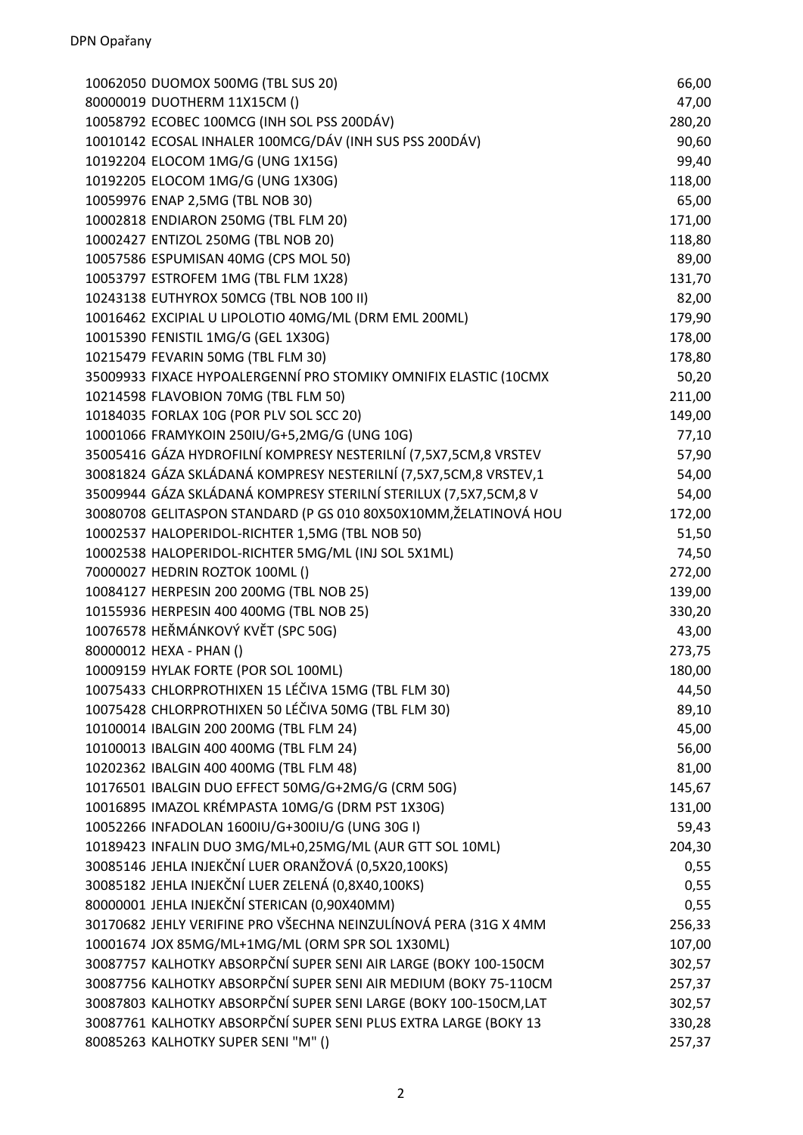| 10062050 DUOMOX 500MG (TBL SUS 20)                                | 66,00  |
|-------------------------------------------------------------------|--------|
| 80000019 DUOTHERM 11X15CM ()                                      | 47,00  |
| 10058792 ECOBEC 100MCG (INH SOL PSS 200DÁV)                       | 280,20 |
| 10010142 ECOSAL INHALER 100MCG/DÁV (INH SUS PSS 200DÁV)           | 90,60  |
| 10192204 ELOCOM 1MG/G (UNG 1X15G)                                 | 99,40  |
| 10192205 ELOCOM 1MG/G (UNG 1X30G)                                 | 118,00 |
| 10059976 ENAP 2,5MG (TBL NOB 30)                                  | 65,00  |
| 10002818 ENDIARON 250MG (TBL FLM 20)                              | 171,00 |
| 10002427 ENTIZOL 250MG (TBL NOB 20)                               | 118,80 |
| 10057586 ESPUMISAN 40MG (CPS MOL 50)                              | 89,00  |
| 10053797 ESTROFEM 1MG (TBL FLM 1X28)                              | 131,70 |
| 10243138 EUTHYROX 50MCG (TBL NOB 100 II)                          | 82,00  |
| 10016462 EXCIPIAL U LIPOLOTIO 40MG/ML (DRM EML 200ML)             | 179,90 |
| 10015390 FENISTIL 1MG/G (GEL 1X30G)                               | 178,00 |
| 10215479 FEVARIN 50MG (TBL FLM 30)                                | 178,80 |
| 35009933 FIXACE HYPOALERGENNÍ PRO STOMIKY OMNIFIX ELASTIC (10CMX  | 50,20  |
| 10214598 FLAVOBION 70MG (TBL FLM 50)                              | 211,00 |
| 10184035 FORLAX 10G (POR PLV SOL SCC 20)                          | 149,00 |
| 10001066 FRAMYKOIN 250IU/G+5,2MG/G (UNG 10G)                      | 77,10  |
| 35005416 GÁZA HYDROFILNÍ KOMPRESY NESTERILNÍ (7,5X7,5CM,8 VRSTEV  | 57,90  |
| 30081824 GÁZA SKLÁDANÁ KOMPRESY NESTERILNÍ (7,5X7,5CM,8 VRSTEV,1  | 54,00  |
| 35009944 GÁZA SKLÁDANÁ KOMPRESY STERILNÍ STERILUX (7,5X7,5CM,8 V  | 54,00  |
| 30080708 GELITASPON STANDARD (P GS 010 80X50X10MM, ŽELATINOVÁ HOU | 172,00 |
| 10002537 HALOPERIDOL-RICHTER 1,5MG (TBL NOB 50)                   | 51,50  |
| 10002538 HALOPERIDOL-RICHTER 5MG/ML (INJ SOL 5X1ML)               | 74,50  |
| 70000027 HEDRIN ROZTOK 100ML ()                                   | 272,00 |
| 10084127 HERPESIN 200 200MG (TBL NOB 25)                          | 139,00 |
| 10155936 HERPESIN 400 400MG (TBL NOB 25)                          | 330,20 |
| 10076578 HEŘMÁNKOVÝ KVĚT (SPC 50G)                                | 43,00  |
| 80000012 HEXA - PHAN ()                                           | 273,75 |
| 10009159 HYLAK FORTE (POR SOL 100ML)                              | 180,00 |
| 10075433 CHLORPROTHIXEN 15 LÉČIVA 15MG (TBL FLM 30)               | 44,50  |
| 10075428 CHLORPROTHIXEN 50 LÉČIVA 50MG (TBL FLM 30)               | 89,10  |
| 10100014 IBALGIN 200 200MG (TBL FLM 24)                           | 45,00  |
| 10100013 IBALGIN 400 400MG (TBL FLM 24)                           | 56,00  |
| 10202362 IBALGIN 400 400MG (TBL FLM 48)                           | 81,00  |
| 10176501 IBALGIN DUO EFFECT 50MG/G+2MG/G (CRM 50G)                | 145,67 |
| 10016895 IMAZOL KRÉMPASTA 10MG/G (DRM PST 1X30G)                  | 131,00 |
| 10052266 INFADOLAN 1600IU/G+300IU/G (UNG 30G I)                   | 59,43  |
| 10189423 INFALIN DUO 3MG/ML+0,25MG/ML (AUR GTT SOL 10ML)          | 204,30 |
| 30085146 JEHLA INJEKČNÍ LUER ORANŽOVÁ (0,5X20,100KS)              | 0,55   |
| 30085182 JEHLA INJEKČNÍ LUER ZELENÁ (0,8X40,100KS)                | 0,55   |
| 80000001 JEHLA INJEKČNÍ STERICAN (0,90X40MM)                      | 0,55   |
| 30170682 JEHLY VERIFINE PRO VŠECHNA NEINZULÍNOVÁ PERA (31G X 4MM  | 256,33 |
| 10001674 JOX 85MG/ML+1MG/ML (ORM SPR SOL 1X30ML)                  | 107,00 |
| 30087757 KALHOTKY ABSORPČNÍ SUPER SENI AIR LARGE (BOKY 100-150CM  | 302,57 |
| 30087756 KALHOTKY ABSORPČNÍ SUPER SENI AIR MEDIUM (BOKY 75-110CM  | 257,37 |
| 30087803 KALHOTKY ABSORPČNÍ SUPER SENI LARGE (BOKY 100-150CM,LAT  | 302,57 |
| 30087761 KALHOTKY ABSORPČNÍ SUPER SENI PLUS EXTRA LARGE (BOKY 13  | 330,28 |
| 80085263 KALHOTKY SUPER SENI "M" ()                               | 257,37 |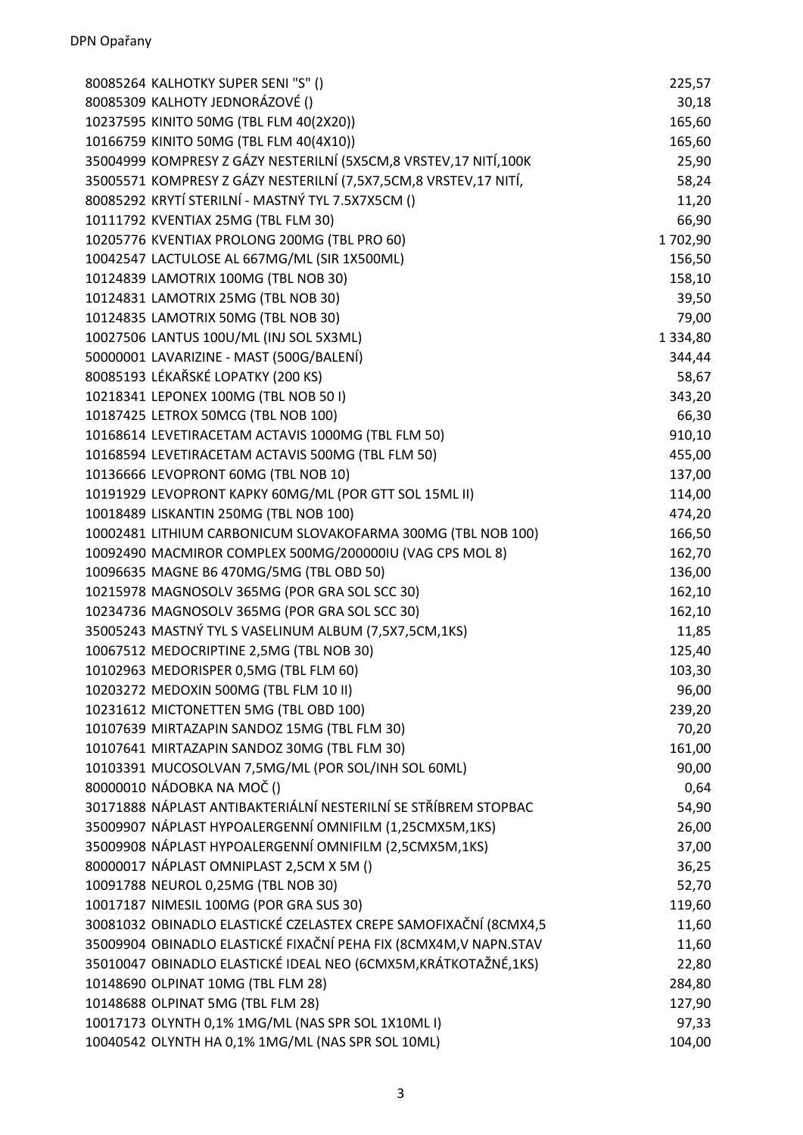| 80085264 KALHOTKY SUPER SENI "S" ()                              | 225,57        |
|------------------------------------------------------------------|---------------|
| 80085309 KALHOTY JEDNORÁZOVÉ ()                                  | 30,18         |
| 10237595 KINITO 50MG (TBL FLM 40(2X20))                          | 165,60        |
| 10166759 KINITO 50MG (TBL FLM 40(4X10))                          | 165,60        |
| 35004999 KOMPRESY Z GÁZY NESTERILNÍ (5X5CM,8 VRSTEV,17 NITÍ,100K | 25,90         |
| 35005571 KOMPRESY Z GÁZY NESTERILNÍ (7,5X7,5CM,8 VRSTEV,17 NITÍ, | 58,24         |
| 80085292 KRYTÍ STERILNÍ - MASTNÝ TYL 7.5X7X5CM ()                | 11,20         |
| 10111792 KVENTIAX 25MG (TBL FLM 30)                              | 66,90         |
| 10205776 KVENTIAX PROLONG 200MG (TBL PRO 60)                     | 1702,90       |
| 10042547 LACTULOSE AL 667MG/ML (SIR 1X500ML)                     | 156,50        |
| 10124839 LAMOTRIX 100MG (TBL NOB 30)                             | 158,10        |
| 10124831 LAMOTRIX 25MG (TBL NOB 30)                              | 39,50         |
| 10124835 LAMOTRIX 50MG (TBL NOB 30)                              | 79,00         |
| 10027506 LANTUS 100U/ML (INJ SOL 5X3ML)                          | 1 3 3 4 , 8 0 |
| 50000001 LAVARIZINE - MAST (500G/BALENÍ)                         | 344,44        |
| 80085193 LÉKAŘSKÉ LOPATKY (200 KS)                               | 58,67         |
| 10218341 LEPONEX 100MG (TBL NOB 50 I)                            | 343,20        |
| 10187425 LETROX 50MCG (TBL NOB 100)                              | 66,30         |
| 10168614 LEVETIRACETAM ACTAVIS 1000MG (TBL FLM 50)               | 910,10        |
| 10168594 LEVETIRACETAM ACTAVIS 500MG (TBL FLM 50)                | 455,00        |
| 10136666 LEVOPRONT 60MG (TBL NOB 10)                             | 137,00        |
| 10191929 LEVOPRONT KAPKY 60MG/ML (POR GTT SOL 15ML II)           | 114,00        |
| 10018489 LISKANTIN 250MG (TBL NOB 100)                           | 474,20        |
| 10002481 LITHIUM CARBONICUM SLOVAKOFARMA 300MG (TBL NOB 100)     | 166,50        |
| 10092490 MACMIROR COMPLEX 500MG/200000IU (VAG CPS MOL 8)         | 162,70        |
| 10096635 MAGNE B6 470MG/5MG (TBL OBD 50)                         | 136,00        |
| 10215978 MAGNOSOLV 365MG (POR GRA SOL SCC 30)                    | 162,10        |
| 10234736 MAGNOSOLV 365MG (POR GRA SOL SCC 30)                    | 162,10        |
| 35005243 MASTNÝ TYL S VASELINUM ALBUM (7,5X7,5CM,1KS)            | 11,85         |
| 10067512 MEDOCRIPTINE 2,5MG (TBL NOB 30)                         | 125,40        |
| 10102963 MEDORISPER 0,5MG (TBL FLM 60)                           | 103,30        |
| 10203272 MEDOXIN 500MG (TBL FLM 10 II)                           | 96,00         |
| 10231612 MICTONETTEN 5MG (TBL OBD 100)                           | 239,20        |
| 10107639 MIRTAZAPIN SANDOZ 15MG (TBL FLM 30)                     | 70,20         |
| 10107641 MIRTAZAPIN SANDOZ 30MG (TBL FLM 30)                     | 161,00        |
| 10103391 MUCOSOLVAN 7,5MG/ML (POR SOL/INH SOL 60ML)              | 90,00         |
| 80000010 NÁDOBKA NA MOČ ()                                       | 0,64          |
| 30171888 NÁPLAST ANTIBAKTERIÁLNÍ NESTERILNÍ SE STŘÍBREM STOPBAC  | 54,90         |
| 35009907 NÁPLAST HYPOALERGENNÍ OMNIFILM (1,25CMX5M,1KS)          | 26,00         |
| 35009908 NÁPLAST HYPOALERGENNÍ OMNIFILM (2,5CMX5M,1KS)           | 37,00         |
| 80000017 NÁPLAST OMNIPLAST 2,5CM X 5M ()                         | 36,25         |
| 10091788 NEUROL 0,25MG (TBL NOB 30)                              | 52,70         |
| 10017187 NIMESIL 100MG (POR GRA SUS 30)                          | 119,60        |
| 30081032 OBINADLO ELASTICKÉ CZELASTEX CREPE SAMOFIXAČNÍ (8CMX4,5 | 11,60         |
| 35009904 OBINADLO ELASTICKÉ FIXAČNÍ PEHA FIX (8CMX4M,V NAPN.STAV | 11,60         |
| 35010047 OBINADLO ELASTICKÉ IDEAL NEO (6CMX5M, KRÁTKOTAŽNÉ, 1KS) | 22,80         |
| 10148690 OLPINAT 10MG (TBL FLM 28)                               | 284,80        |
| 10148688 OLPINAT 5MG (TBL FLM 28)                                | 127,90        |
| 10017173 OLYNTH 0,1% 1MG/ML (NAS SPR SOL 1X10ML I)               | 97,33         |
|                                                                  |               |
| 10040542 OLYNTH HA 0,1% 1MG/ML (NAS SPR SOL 10ML)                | 104,00        |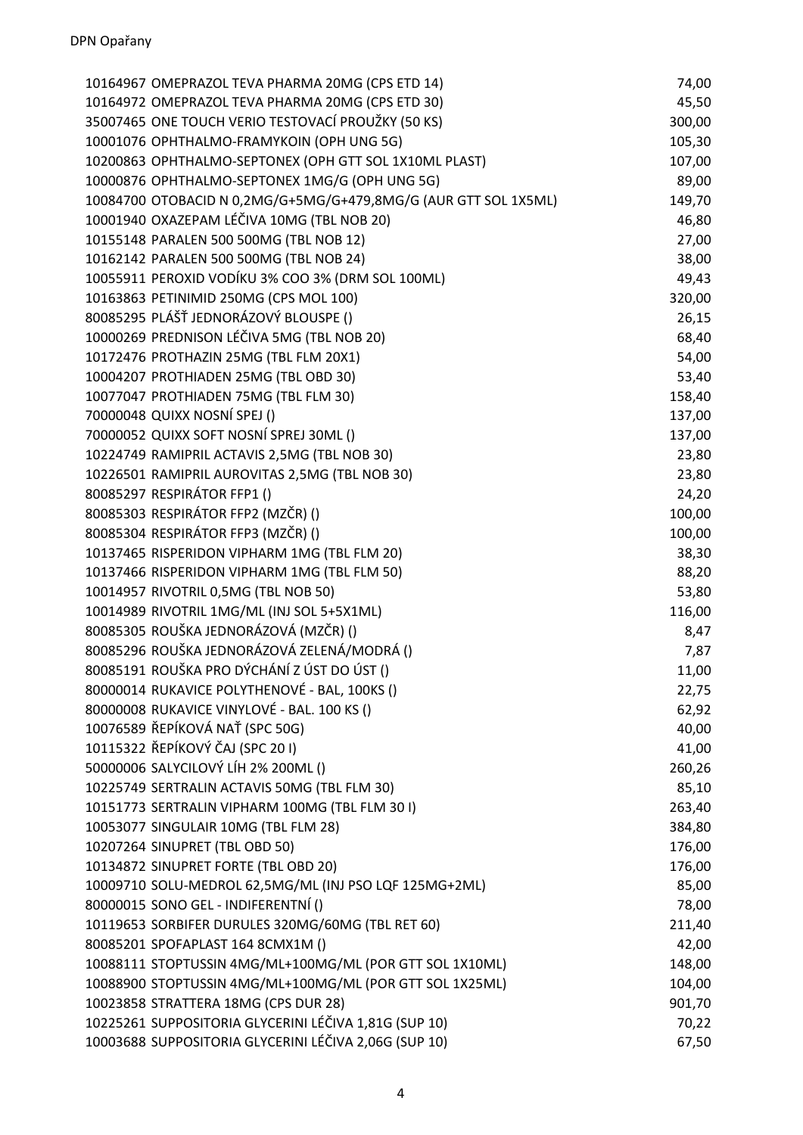| 10164967 OMEPRAZOL TEVA PHARMA 20MG (CPS ETD 14)                | 74,00  |
|-----------------------------------------------------------------|--------|
| 10164972 OMEPRAZOL TEVA PHARMA 20MG (CPS ETD 30)                | 45,50  |
| 35007465 ONE TOUCH VERIO TESTOVACÍ PROUŽKY (50 KS)              | 300,00 |
| 10001076 OPHTHALMO-FRAMYKOIN (OPH UNG 5G)                       | 105,30 |
| 10200863 OPHTHALMO-SEPTONEX (OPH GTT SOL 1X10ML PLAST)          | 107,00 |
| 10000876 OPHTHALMO-SEPTONEX 1MG/G (OPH UNG 5G)                  | 89,00  |
| 10084700 OTOBACID N 0,2MG/G+5MG/G+479,8MG/G (AUR GTT SOL 1X5ML) | 149,70 |
| 10001940 OXAZEPAM LÉČIVA 10MG (TBL NOB 20)                      | 46,80  |
| 10155148 PARALEN 500 500MG (TBL NOB 12)                         | 27,00  |
| 10162142 PARALEN 500 500MG (TBL NOB 24)                         | 38,00  |
| 10055911 PEROXID VODÍKU 3% COO 3% (DRM SOL 100ML)               | 49,43  |
| 10163863 PETINIMID 250MG (CPS MOL 100)                          | 320,00 |
| 80085295 PLÁŠŤ JEDNORÁZOVÝ BLOUSPE ()                           | 26,15  |
| 10000269 PREDNISON LÉČIVA 5MG (TBL NOB 20)                      | 68,40  |
| 10172476 PROTHAZIN 25MG (TBL FLM 20X1)                          | 54,00  |
| 10004207 PROTHIADEN 25MG (TBL OBD 30)                           | 53,40  |
| 10077047 PROTHIADEN 75MG (TBL FLM 30)                           | 158,40 |
| 70000048 QUIXX NOSNÍ SPEJ ()                                    | 137,00 |
| 70000052 QUIXX SOFT NOSNÍ SPREJ 30ML ()                         | 137,00 |
| 10224749 RAMIPRIL ACTAVIS 2,5MG (TBL NOB 30)                    | 23,80  |
| 10226501 RAMIPRIL AUROVITAS 2,5MG (TBL NOB 30)                  | 23,80  |
| 80085297 RESPIRÁTOR FFP1 ()                                     | 24,20  |
| 80085303 RESPIRÁTOR FFP2 (MZČR) ()                              | 100,00 |
| 80085304 RESPIRÁTOR FFP3 (MZČR) ()                              | 100,00 |
| 10137465 RISPERIDON VIPHARM 1MG (TBL FLM 20)                    | 38,30  |
| 10137466 RISPERIDON VIPHARM 1MG (TBL FLM 50)                    | 88,20  |
| 10014957 RIVOTRIL 0,5MG (TBL NOB 50)                            | 53,80  |
| 10014989 RIVOTRIL 1MG/ML (INJ SOL 5+5X1ML)                      | 116,00 |
| 80085305 ROUŠKA JEDNORÁZOVÁ (MZČR) ()                           | 8,47   |
| 80085296 ROUŠKA JEDNORÁZOVÁ ZELENÁ/MODRÁ ()                     | 7,87   |
| 80085191 ROUŠKA PRO DÝCHÁNÍ Z ÚST DO ÚST ()                     | 11,00  |
| 80000014 RUKAVICE POLYTHENOVÉ - BAL, 100KS ()                   | 22,75  |
| 80000008 RUKAVICE VINYLOVÉ - BAL. 100 KS ()                     | 62,92  |
| 10076589 ŘEPÍKOVÁ NAŤ (SPC 50G)                                 | 40,00  |
| 10115322 ŘEPÍKOVÝ ČAJ (SPC 201)                                 | 41,00  |
| 50000006 SALYCILOVÝ LÍH 2% 200ML ()                             |        |
|                                                                 | 260,26 |
| 10225749 SERTRALIN ACTAVIS 50MG (TBL FLM 30)                    | 85,10  |
| 10151773 SERTRALIN VIPHARM 100MG (TBL FLM 301)                  | 263,40 |
| 10053077 SINGULAIR 10MG (TBL FLM 28)                            | 384,80 |
| 10207264 SINUPRET (TBL OBD 50)                                  | 176,00 |
| 10134872 SINUPRET FORTE (TBL OBD 20)                            | 176,00 |
| 10009710 SOLU-MEDROL 62,5MG/ML (INJ PSO LQF 125MG+2ML)          | 85,00  |
| 80000015 SONO GEL - INDIFERENTNÍ ()                             | 78,00  |
| 10119653 SORBIFER DURULES 320MG/60MG (TBL RET 60)               | 211,40 |
| 80085201 SPOFAPLAST 164 8CMX1M ()                               | 42,00  |
| 10088111 STOPTUSSIN 4MG/ML+100MG/ML (POR GTT SOL 1X10ML)        | 148,00 |
| 10088900 STOPTUSSIN 4MG/ML+100MG/ML (POR GTT SOL 1X25ML)        | 104,00 |
| 10023858 STRATTERA 18MG (CPS DUR 28)                            | 901,70 |
| 10225261 SUPPOSITORIA GLYCERINI LÉČIVA 1,81G (SUP 10)           | 70,22  |
| 10003688 SUPPOSITORIA GLYCERINI LÉČIVA 2,06G (SUP 10)           | 67,50  |